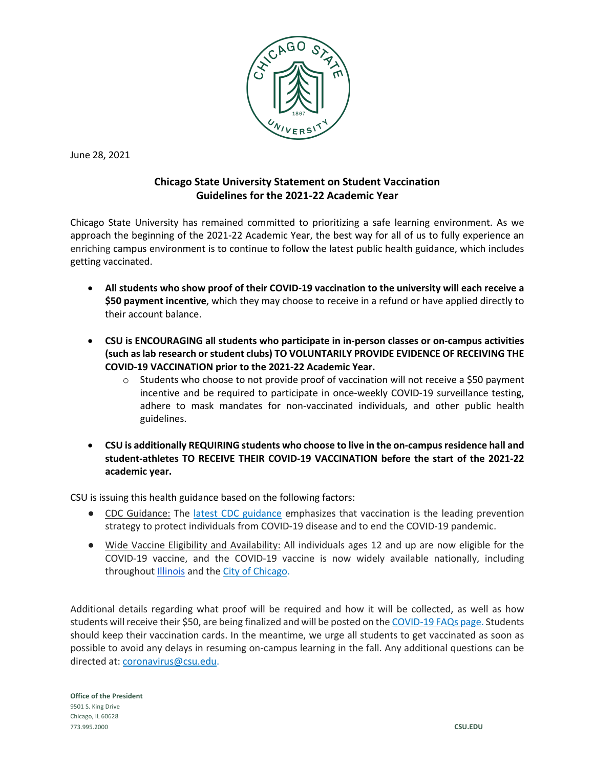

June 28, 2021

## **Chicago State University Statement on Student Vaccination Guidelines for the 2021-22 Academic Year**

Chicago State University has remained committed to prioritizing a safe learning environment. As we approach the beginning of the 2021-22 Academic Year, the best way for all of us to fully experience an enriching campus environment is to continue to follow the latest public health guidance, which includes getting vaccinated.

- **All students who show proof of their COVID-19 vaccination to the university will each receive a \$50 payment incentive**, which they may choose to receive in a refund or have applied directly to their account balance.
- **CSU is ENCOURAGING all students who participate in in-person classes or on-campus activities (such as lab research or student clubs) TO VOLUNTARILY PROVIDE EVIDENCE OF RECEIVING THE COVID-19 VACCINATION prior to the 2021-22 Academic Year.** 
	- $\circ$  Students who choose to not provide proof of vaccination will not receive a \$50 payment incentive and be required to participate in once-weekly COVID-19 surveillance testing, adhere to mask mandates for non-vaccinated individuals, and other public health guidelines.
- **CSU is additionally REQUIRING students who choose to live in the on-campus residence hall and student-athletes TO RECEIVE THEIR COVID-19 VACCINATION before the start of the 2021-22 academic year.**

CSU is issuing this health guidance based on the following factors:

- CDC Guidance: The latest CDC guidance emphasizes that vaccination is the leading prevention strategy to protect individuals from COVID-19 disease and to end the COVID-19 pandemic.
- Wide Vaccine Eligibility and Availability: All individuals ages 12 and up are now eligible for the COVID-19 vaccine, and the COVID-19 vaccine is now widely available nationally, including throughout Illinois and the City of Chicago.

Additional details regarding what proof will be required and how it will be collected, as well as how students will receive their \$50, are being finalized and will be posted on the COVID-19 FAQs page. Students should keep their vaccination cards. In the meantime, we urge all students to get vaccinated as soon as possible to avoid any delays in resuming on-campus learning in the fall. Any additional questions can be directed at: coronavirus@csu.edu.